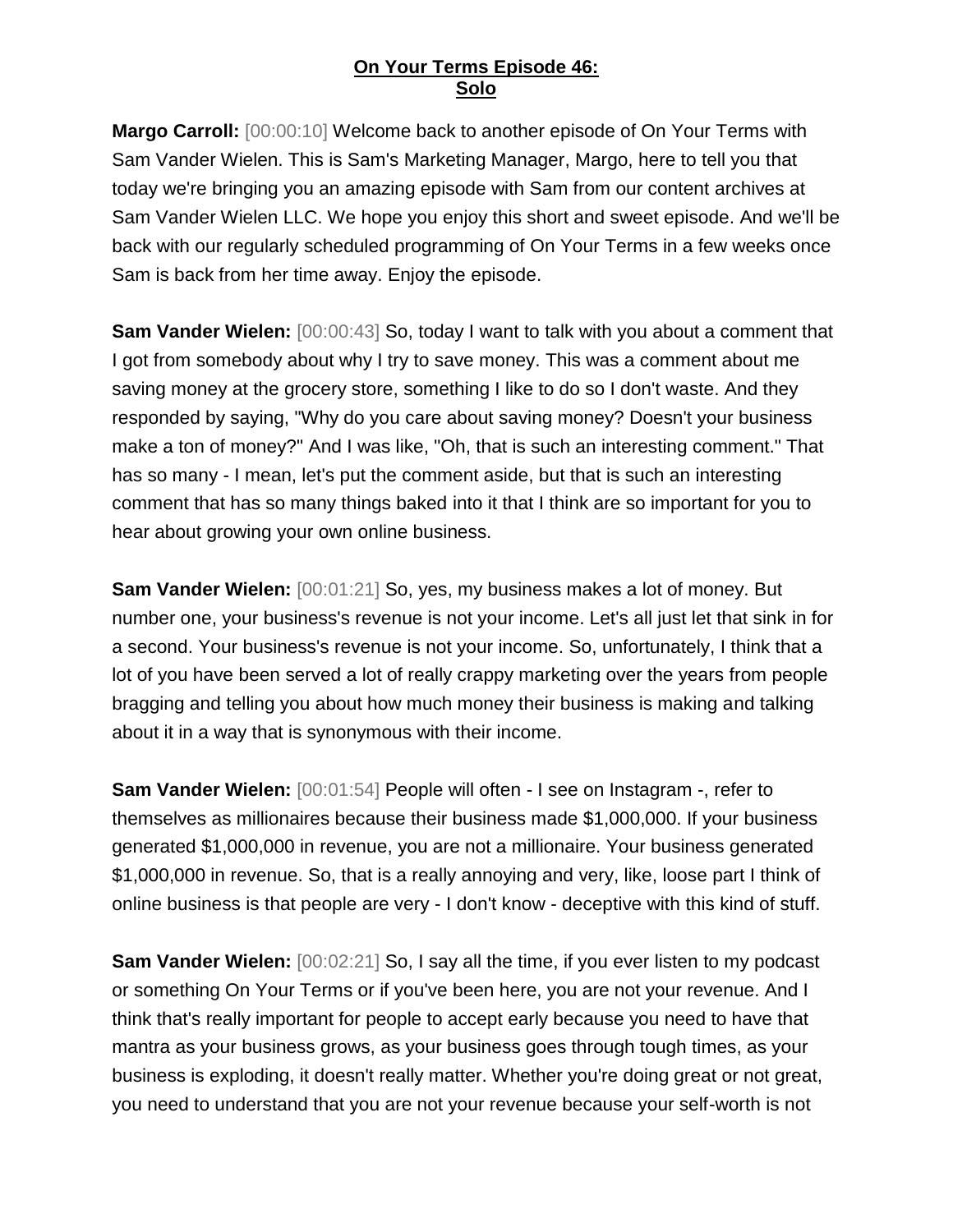**Margo Carroll:** [00:00:10] Welcome back to another episode of On Your Terms with Sam Vander Wielen. This is Sam's Marketing Manager, Margo, here to tell you that today we're bringing you an amazing episode with Sam from our content archives at Sam Vander Wielen LLC. We hope you enjoy this short and sweet episode. And we'll be back with our regularly scheduled programming of On Your Terms in a few weeks once Sam is back from her time away. Enjoy the episode.

**Sam Vander Wielen:**  $[00:00:43]$  So, today I want to talk with you about a comment that I got from somebody about why I try to save money. This was a comment about me saving money at the grocery store, something I like to do so I don't waste. And they responded by saying, "Why do you care about saving money? Doesn't your business make a ton of money?" And I was like, "Oh, that is such an interesting comment." That has so many - I mean, let's put the comment aside, but that is such an interesting comment that has so many things baked into it that I think are so important for you to hear about growing your own online business.

**Sam Vander Wielen:** [00:01:21] So, yes, my business makes a lot of money. But number one, your business's revenue is not your income. Let's all just let that sink in for a second. Your business's revenue is not your income. So, unfortunately, I think that a lot of you have been served a lot of really crappy marketing over the years from people bragging and telling you about how much money their business is making and talking about it in a way that is synonymous with their income.

**Sam Vander Wielen:** [00:01:54] People will often - I see on Instagram -, refer to themselves as millionaires because their business made \$1,000,000. If your business generated \$1,000,000 in revenue, you are not a millionaire. Your business generated \$1,000,000 in revenue. So, that is a really annoying and very, like, loose part I think of online business is that people are very - I don't know - deceptive with this kind of stuff.

**Sam Vander Wielen:**  $[00:02:21]$  So, I say all the time, if you ever listen to my podcast or something On Your Terms or if you've been here, you are not your revenue. And I think that's really important for people to accept early because you need to have that mantra as your business grows, as your business goes through tough times, as your business is exploding, it doesn't really matter. Whether you're doing great or not great, you need to understand that you are not your revenue because your self-worth is not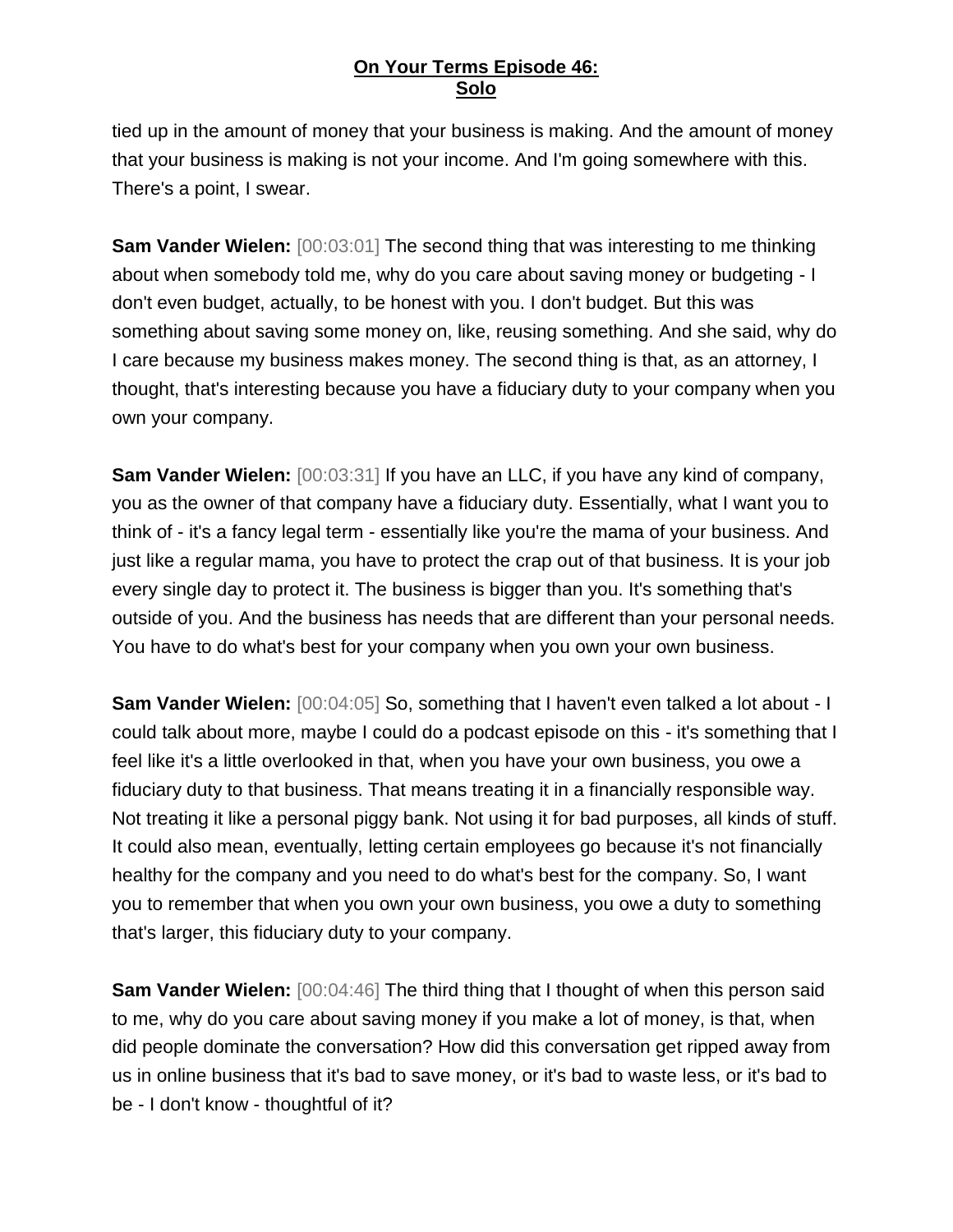tied up in the amount of money that your business is making. And the amount of money that your business is making is not your income. And I'm going somewhere with this. There's a point, I swear.

**Sam Vander Wielen:** [00:03:01] The second thing that was interesting to me thinking about when somebody told me, why do you care about saving money or budgeting - I don't even budget, actually, to be honest with you. I don't budget. But this was something about saving some money on, like, reusing something. And she said, why do I care because my business makes money. The second thing is that, as an attorney, I thought, that's interesting because you have a fiduciary duty to your company when you own your company.

**Sam Vander Wielen:** [00:03:31] If you have an LLC, if you have any kind of company, you as the owner of that company have a fiduciary duty. Essentially, what I want you to think of - it's a fancy legal term - essentially like you're the mama of your business. And just like a regular mama, you have to protect the crap out of that business. It is your job every single day to protect it. The business is bigger than you. It's something that's outside of you. And the business has needs that are different than your personal needs. You have to do what's best for your company when you own your own business.

**Sam Vander Wielen:** [00:04:05] So, something that I haven't even talked a lot about - I could talk about more, maybe I could do a podcast episode on this - it's something that I feel like it's a little overlooked in that, when you have your own business, you owe a fiduciary duty to that business. That means treating it in a financially responsible way. Not treating it like a personal piggy bank. Not using it for bad purposes, all kinds of stuff. It could also mean, eventually, letting certain employees go because it's not financially healthy for the company and you need to do what's best for the company. So, I want you to remember that when you own your own business, you owe a duty to something that's larger, this fiduciary duty to your company.

**Sam Vander Wielen:** [00:04:46] The third thing that I thought of when this person said to me, why do you care about saving money if you make a lot of money, is that, when did people dominate the conversation? How did this conversation get ripped away from us in online business that it's bad to save money, or it's bad to waste less, or it's bad to be - I don't know - thoughtful of it?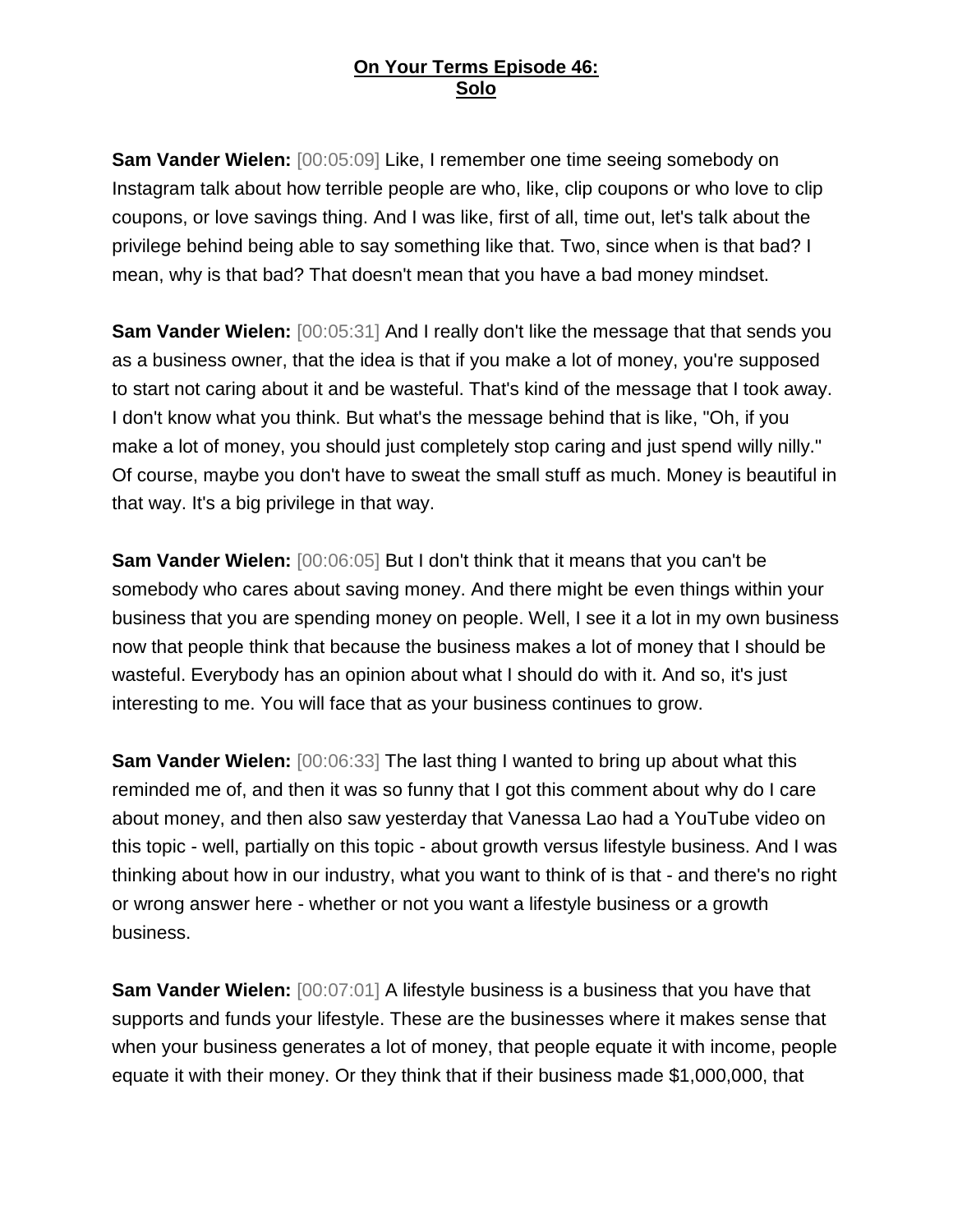**Sam Vander Wielen:** [00:05:09] Like, I remember one time seeing somebody on Instagram talk about how terrible people are who, like, clip coupons or who love to clip coupons, or love savings thing. And I was like, first of all, time out, let's talk about the privilege behind being able to say something like that. Two, since when is that bad? I mean, why is that bad? That doesn't mean that you have a bad money mindset.

**Sam Vander Wielen:**  $[00:05:31]$  And I really don't like the message that that sends you as a business owner, that the idea is that if you make a lot of money, you're supposed to start not caring about it and be wasteful. That's kind of the message that I took away. I don't know what you think. But what's the message behind that is like, "Oh, if you make a lot of money, you should just completely stop caring and just spend willy nilly." Of course, maybe you don't have to sweat the small stuff as much. Money is beautiful in that way. It's a big privilege in that way.

**Sam Vander Wielen:** [00:06:05] But I don't think that it means that you can't be somebody who cares about saving money. And there might be even things within your business that you are spending money on people. Well, I see it a lot in my own business now that people think that because the business makes a lot of money that I should be wasteful. Everybody has an opinion about what I should do with it. And so, it's just interesting to me. You will face that as your business continues to grow.

**Sam Vander Wielen:** [00:06:33] The last thing I wanted to bring up about what this reminded me of, and then it was so funny that I got this comment about why do I care about money, and then also saw yesterday that Vanessa Lao had a YouTube video on this topic - well, partially on this topic - about growth versus lifestyle business. And I was thinking about how in our industry, what you want to think of is that - and there's no right or wrong answer here - whether or not you want a lifestyle business or a growth business.

**Sam Vander Wielen:** [00:07:01] A lifestyle business is a business that you have that supports and funds your lifestyle. These are the businesses where it makes sense that when your business generates a lot of money, that people equate it with income, people equate it with their money. Or they think that if their business made \$1,000,000, that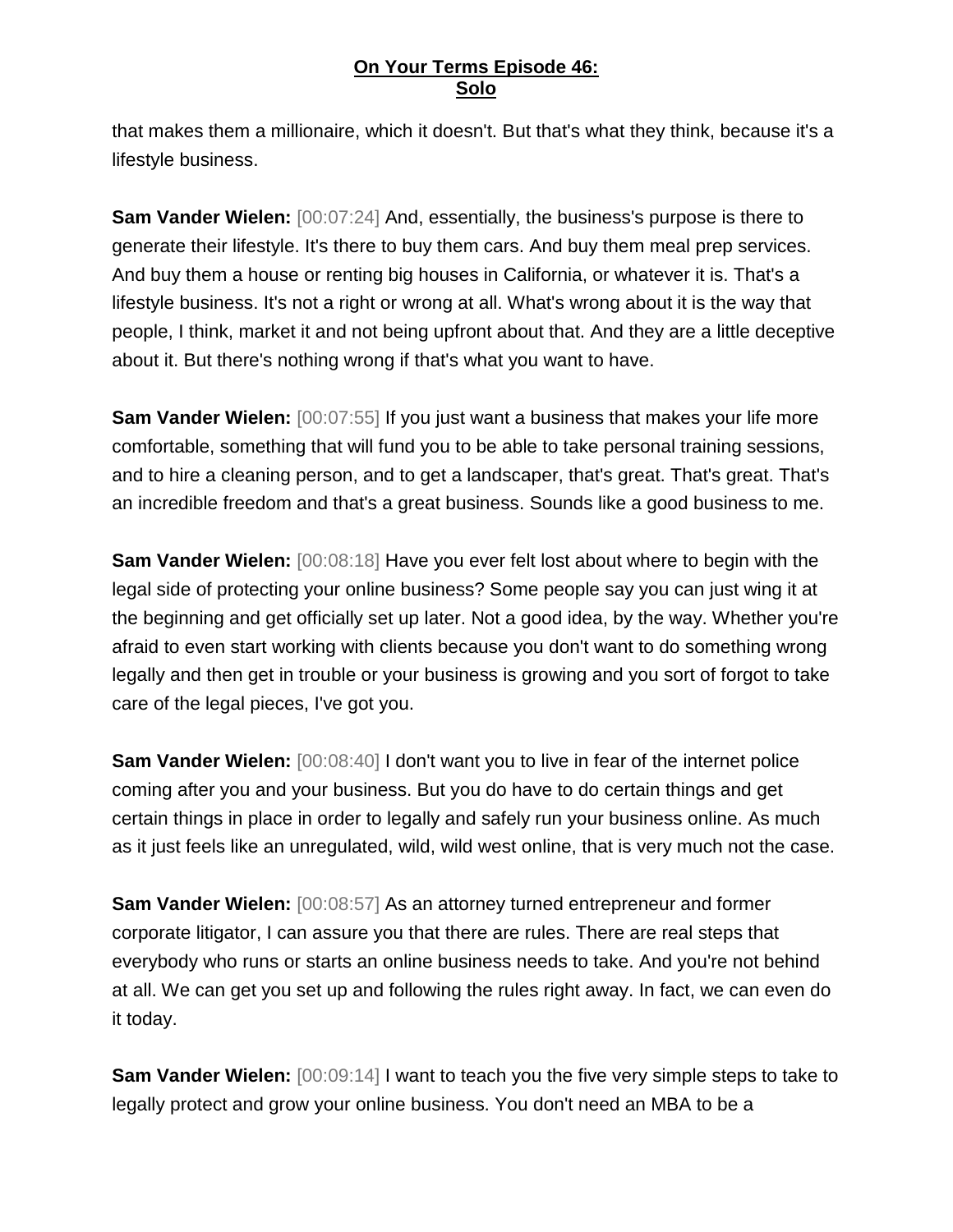that makes them a millionaire, which it doesn't. But that's what they think, because it's a lifestyle business.

**Sam Vander Wielen:** [00:07:24] And, essentially, the business's purpose is there to generate their lifestyle. It's there to buy them cars. And buy them meal prep services. And buy them a house or renting big houses in California, or whatever it is. That's a lifestyle business. It's not a right or wrong at all. What's wrong about it is the way that people, I think, market it and not being upfront about that. And they are a little deceptive about it. But there's nothing wrong if that's what you want to have.

**Sam Vander Wielen:** [00:07:55] If you just want a business that makes your life more comfortable, something that will fund you to be able to take personal training sessions, and to hire a cleaning person, and to get a landscaper, that's great. That's great. That's an incredible freedom and that's a great business. Sounds like a good business to me.

**Sam Vander Wielen:** [00:08:18] Have you ever felt lost about where to begin with the legal side of protecting your online business? Some people say you can just wing it at the beginning and get officially set up later. Not a good idea, by the way. Whether you're afraid to even start working with clients because you don't want to do something wrong legally and then get in trouble or your business is growing and you sort of forgot to take care of the legal pieces, I've got you.

**Sam Vander Wielen:** [00:08:40] I don't want you to live in fear of the internet police coming after you and your business. But you do have to do certain things and get certain things in place in order to legally and safely run your business online. As much as it just feels like an unregulated, wild, wild west online, that is very much not the case.

**Sam Vander Wielen:** [00:08:57] As an attorney turned entrepreneur and former corporate litigator, I can assure you that there are rules. There are real steps that everybody who runs or starts an online business needs to take. And you're not behind at all. We can get you set up and following the rules right away. In fact, we can even do it today.

**Sam Vander Wielen:** [00:09:14] I want to teach you the five very simple steps to take to legally protect and grow your online business. You don't need an MBA to be a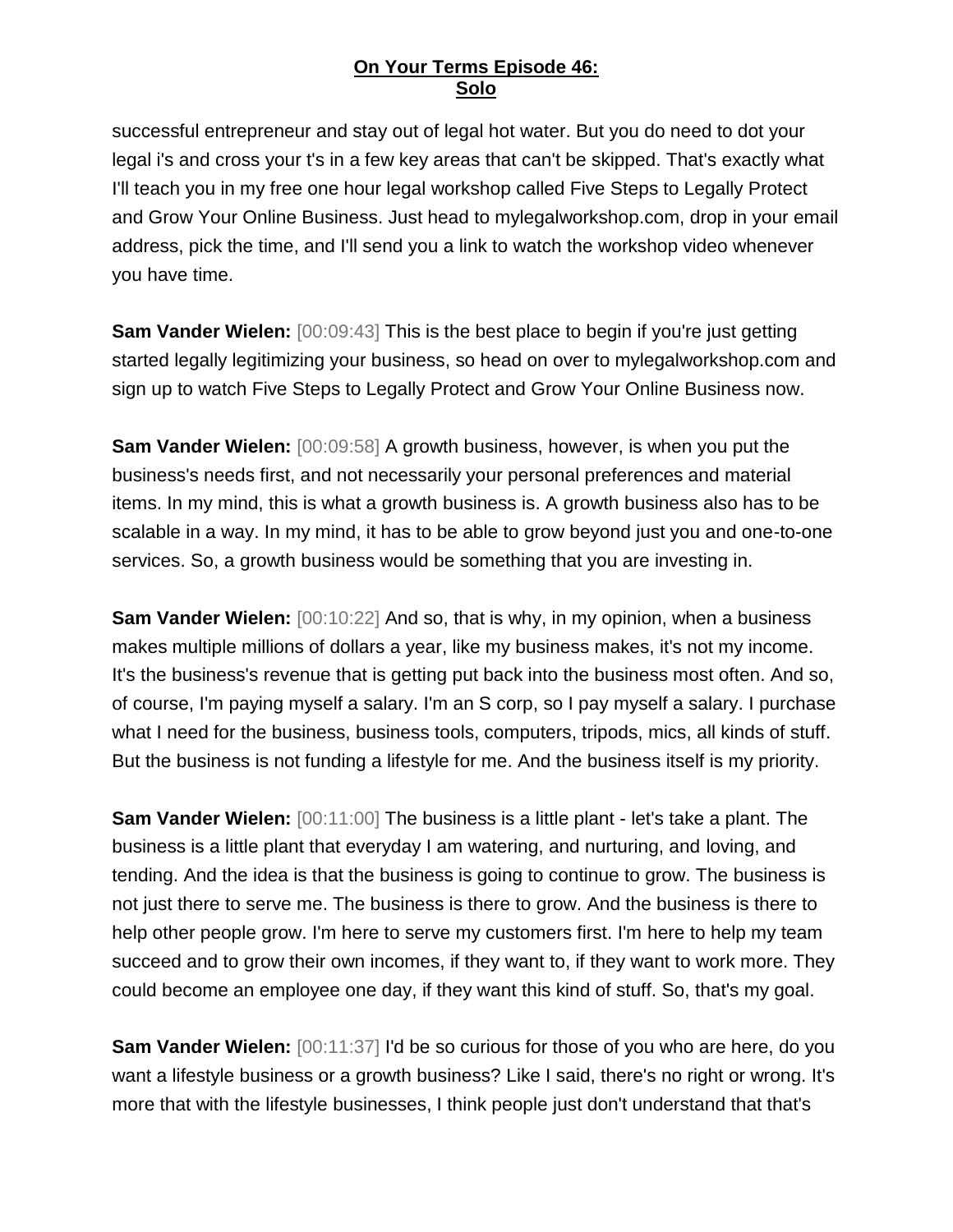successful entrepreneur and stay out of legal hot water. But you do need to dot your legal i's and cross your t's in a few key areas that can't be skipped. That's exactly what I'll teach you in my free one hour legal workshop called Five Steps to Legally Protect and Grow Your Online Business. Just head to mylegalworkshop.com, drop in your email address, pick the time, and I'll send you a link to watch the workshop video whenever you have time.

**Sam Vander Wielen:** [00:09:43] This is the best place to begin if you're just getting started legally legitimizing your business, so head on over to mylegalworkshop.com and sign up to watch Five Steps to Legally Protect and Grow Your Online Business now.

**Sam Vander Wielen:** [00:09:58] A growth business, however, is when you put the business's needs first, and not necessarily your personal preferences and material items. In my mind, this is what a growth business is. A growth business also has to be scalable in a way. In my mind, it has to be able to grow beyond just you and one-to-one services. So, a growth business would be something that you are investing in.

**Sam Vander Wielen:** [00:10:22] And so, that is why, in my opinion, when a business makes multiple millions of dollars a year, like my business makes, it's not my income. It's the business's revenue that is getting put back into the business most often. And so, of course, I'm paying myself a salary. I'm an S corp, so I pay myself a salary. I purchase what I need for the business, business tools, computers, tripods, mics, all kinds of stuff. But the business is not funding a lifestyle for me. And the business itself is my priority.

**Sam Vander Wielen:** [00:11:00] The business is a little plant - let's take a plant. The business is a little plant that everyday I am watering, and nurturing, and loving, and tending. And the idea is that the business is going to continue to grow. The business is not just there to serve me. The business is there to grow. And the business is there to help other people grow. I'm here to serve my customers first. I'm here to help my team succeed and to grow their own incomes, if they want to, if they want to work more. They could become an employee one day, if they want this kind of stuff. So, that's my goal.

**Sam Vander Wielen:**  $[00:11:37]$  I'd be so curious for those of you who are here, do you want a lifestyle business or a growth business? Like I said, there's no right or wrong. It's more that with the lifestyle businesses, I think people just don't understand that that's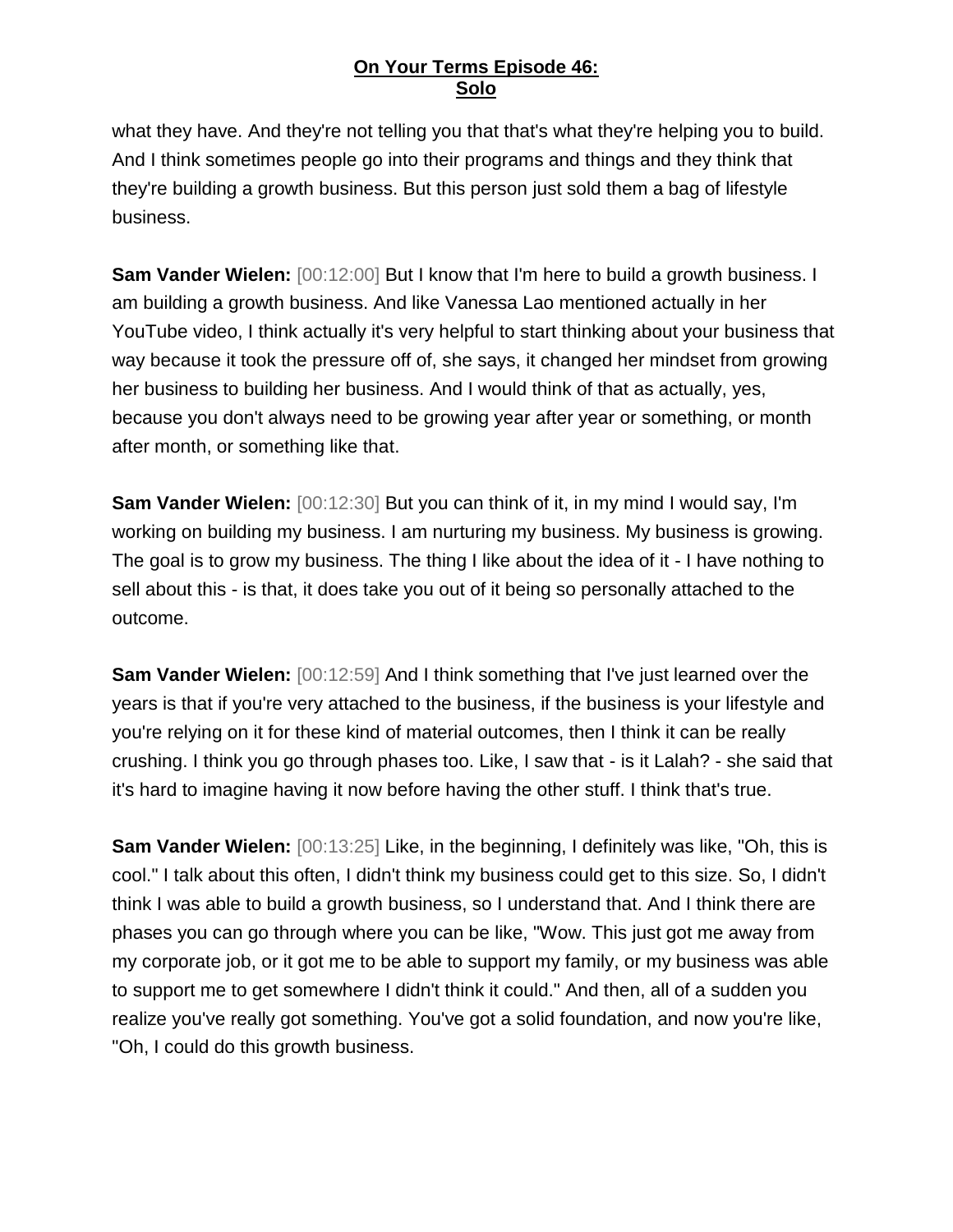what they have. And they're not telling you that that's what they're helping you to build. And I think sometimes people go into their programs and things and they think that they're building a growth business. But this person just sold them a bag of lifestyle business.

**Sam Vander Wielen:** [00:12:00] But I know that I'm here to build a growth business. I am building a growth business. And like Vanessa Lao mentioned actually in her YouTube video, I think actually it's very helpful to start thinking about your business that way because it took the pressure off of, she says, it changed her mindset from growing her business to building her business. And I would think of that as actually, yes, because you don't always need to be growing year after year or something, or month after month, or something like that.

**Sam Vander Wielen:** [00:12:30] But you can think of it, in my mind I would say, I'm working on building my business. I am nurturing my business. My business is growing. The goal is to grow my business. The thing I like about the idea of it - I have nothing to sell about this - is that, it does take you out of it being so personally attached to the outcome.

**Sam Vander Wielen:** [00:12:59] And I think something that I've just learned over the years is that if you're very attached to the business, if the business is your lifestyle and you're relying on it for these kind of material outcomes, then I think it can be really crushing. I think you go through phases too. Like, I saw that - is it Lalah? - she said that it's hard to imagine having it now before having the other stuff. I think that's true.

**Sam Vander Wielen:** [00:13:25] Like, in the beginning, I definitely was like, "Oh, this is cool." I talk about this often, I didn't think my business could get to this size. So, I didn't think I was able to build a growth business, so I understand that. And I think there are phases you can go through where you can be like, "Wow. This just got me away from my corporate job, or it got me to be able to support my family, or my business was able to support me to get somewhere I didn't think it could." And then, all of a sudden you realize you've really got something. You've got a solid foundation, and now you're like, "Oh, I could do this growth business.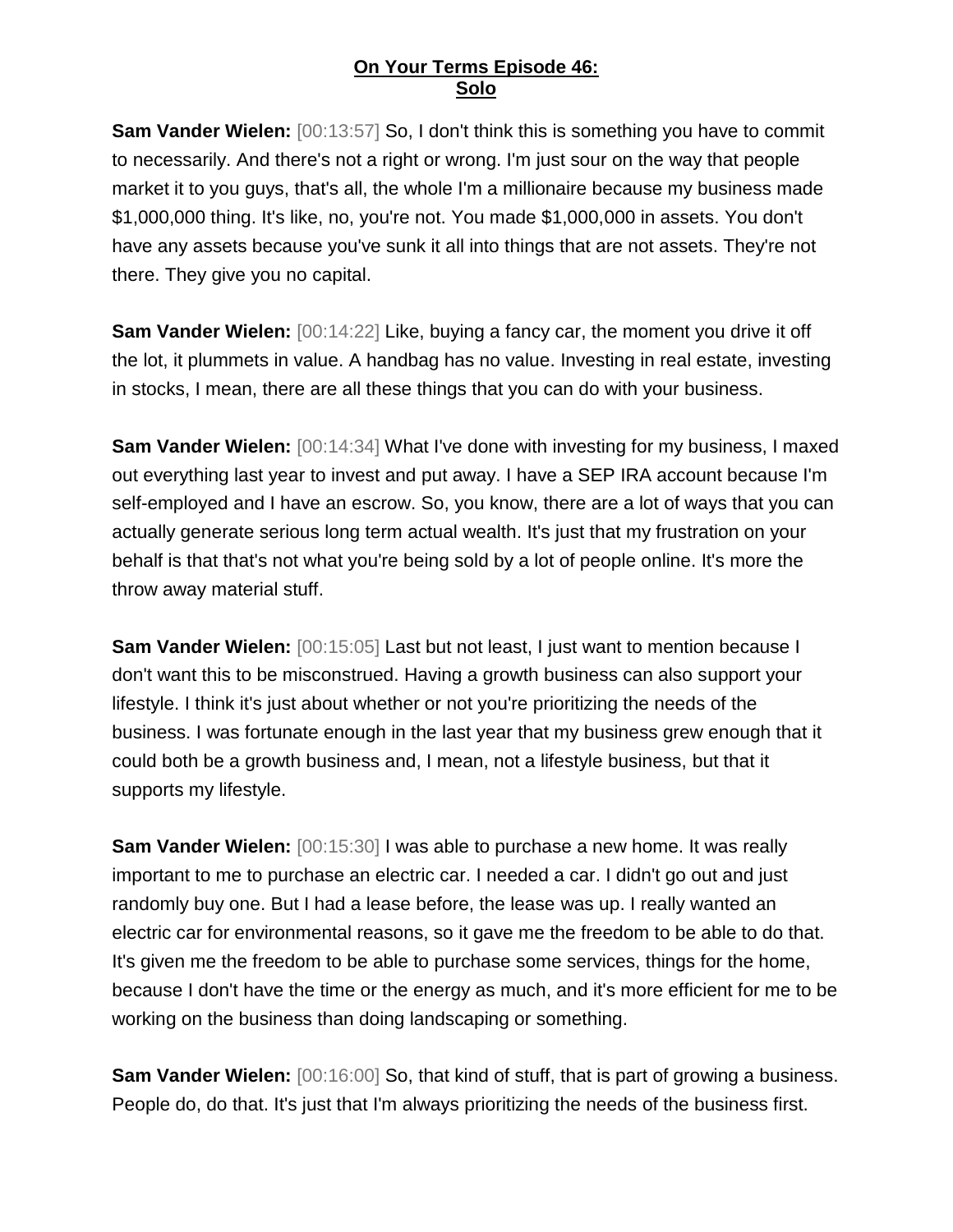**Sam Vander Wielen:** [00:13:57] So, I don't think this is something you have to commit to necessarily. And there's not a right or wrong. I'm just sour on the way that people market it to you guys, that's all, the whole I'm a millionaire because my business made \$1,000,000 thing. It's like, no, you're not. You made \$1,000,000 in assets. You don't have any assets because you've sunk it all into things that are not assets. They're not there. They give you no capital.

**Sam Vander Wielen:** [00:14:22] Like, buying a fancy car, the moment you drive it off the lot, it plummets in value. A handbag has no value. Investing in real estate, investing in stocks, I mean, there are all these things that you can do with your business.

**Sam Vander Wielen:** [00:14:34] What I've done with investing for my business, I maxed out everything last year to invest and put away. I have a SEP IRA account because I'm self-employed and I have an escrow. So, you know, there are a lot of ways that you can actually generate serious long term actual wealth. It's just that my frustration on your behalf is that that's not what you're being sold by a lot of people online. It's more the throw away material stuff.

**Sam Vander Wielen:** [00:15:05] Last but not least, I just want to mention because I don't want this to be misconstrued. Having a growth business can also support your lifestyle. I think it's just about whether or not you're prioritizing the needs of the business. I was fortunate enough in the last year that my business grew enough that it could both be a growth business and, I mean, not a lifestyle business, but that it supports my lifestyle.

**Sam Vander Wielen:** [00:15:30] I was able to purchase a new home. It was really important to me to purchase an electric car. I needed a car. I didn't go out and just randomly buy one. But I had a lease before, the lease was up. I really wanted an electric car for environmental reasons, so it gave me the freedom to be able to do that. It's given me the freedom to be able to purchase some services, things for the home, because I don't have the time or the energy as much, and it's more efficient for me to be working on the business than doing landscaping or something.

**Sam Vander Wielen:** [00:16:00] So, that kind of stuff, that is part of growing a business. People do, do that. It's just that I'm always prioritizing the needs of the business first.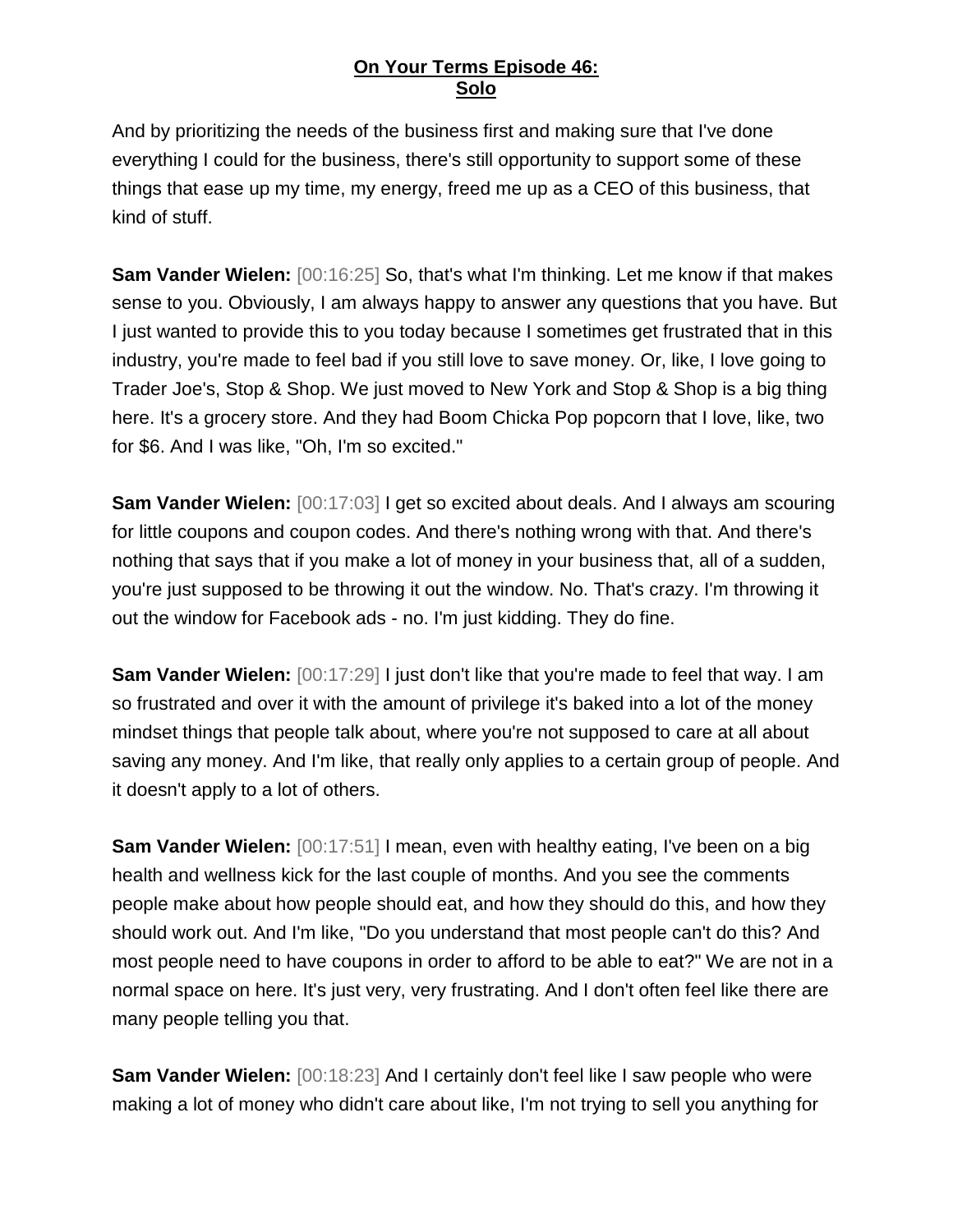And by prioritizing the needs of the business first and making sure that I've done everything I could for the business, there's still opportunity to support some of these things that ease up my time, my energy, freed me up as a CEO of this business, that kind of stuff.

**Sam Vander Wielen:** [00:16:25] So, that's what I'm thinking. Let me know if that makes sense to you. Obviously, I am always happy to answer any questions that you have. But I just wanted to provide this to you today because I sometimes get frustrated that in this industry, you're made to feel bad if you still love to save money. Or, like, I love going to Trader Joe's, Stop & Shop. We just moved to New York and Stop & Shop is a big thing here. It's a grocery store. And they had Boom Chicka Pop popcorn that I love, like, two for \$6. And I was like, "Oh, I'm so excited."

**Sam Vander Wielen:** [00:17:03] I get so excited about deals. And I always am scouring for little coupons and coupon codes. And there's nothing wrong with that. And there's nothing that says that if you make a lot of money in your business that, all of a sudden, you're just supposed to be throwing it out the window. No. That's crazy. I'm throwing it out the window for Facebook ads - no. I'm just kidding. They do fine.

**Sam Vander Wielen:** [00:17:29] I just don't like that you're made to feel that way. I am so frustrated and over it with the amount of privilege it's baked into a lot of the money mindset things that people talk about, where you're not supposed to care at all about saving any money. And I'm like, that really only applies to a certain group of people. And it doesn't apply to a lot of others.

**Sam Vander Wielen:** [00:17:51] I mean, even with healthy eating, I've been on a big health and wellness kick for the last couple of months. And you see the comments people make about how people should eat, and how they should do this, and how they should work out. And I'm like, "Do you understand that most people can't do this? And most people need to have coupons in order to afford to be able to eat?" We are not in a normal space on here. It's just very, very frustrating. And I don't often feel like there are many people telling you that.

**Sam Vander Wielen:** [00:18:23] And I certainly don't feel like I saw people who were making a lot of money who didn't care about like, I'm not trying to sell you anything for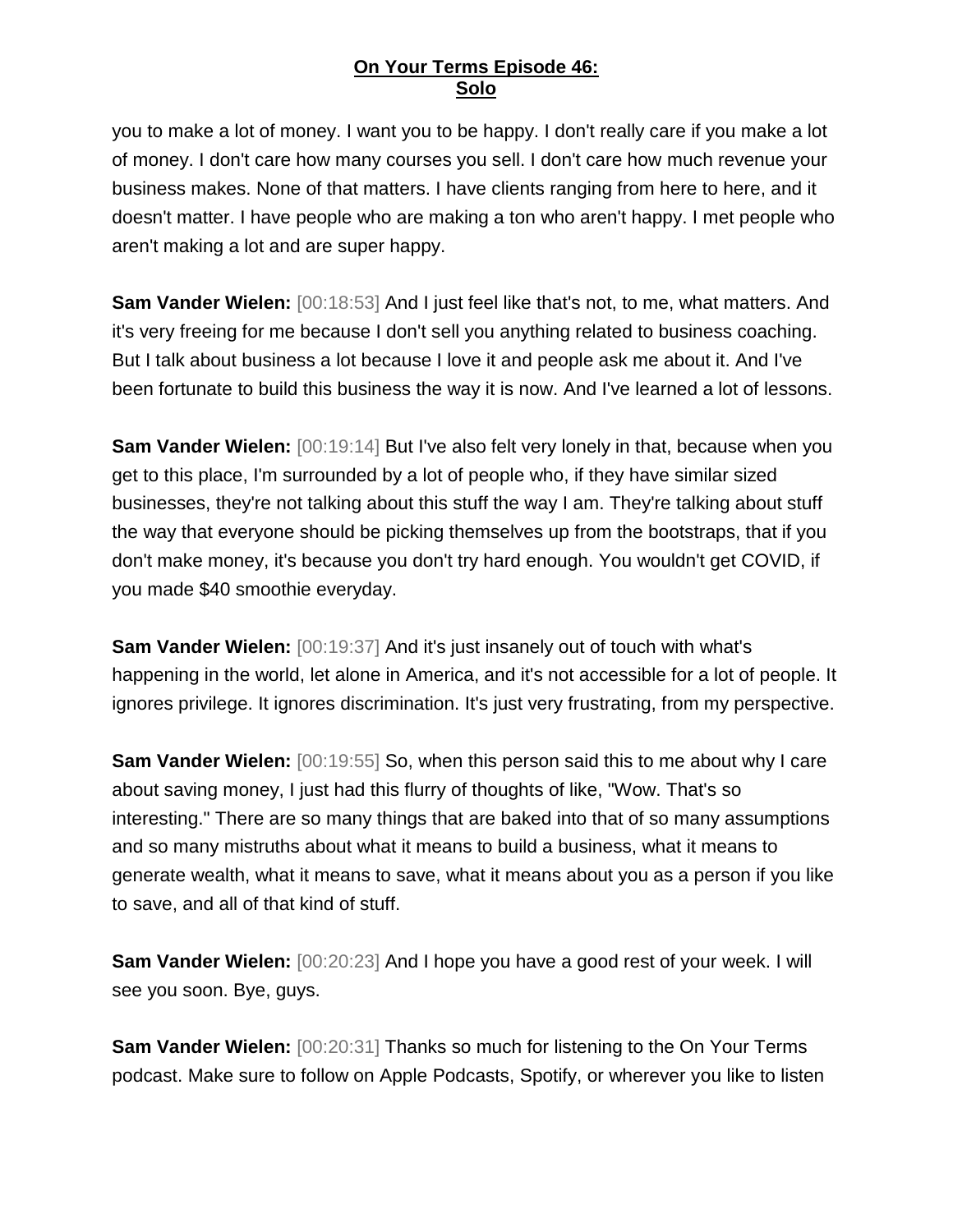you to make a lot of money. I want you to be happy. I don't really care if you make a lot of money. I don't care how many courses you sell. I don't care how much revenue your business makes. None of that matters. I have clients ranging from here to here, and it doesn't matter. I have people who are making a ton who aren't happy. I met people who aren't making a lot and are super happy.

**Sam Vander Wielen:** [00:18:53] And I just feel like that's not, to me, what matters. And it's very freeing for me because I don't sell you anything related to business coaching. But I talk about business a lot because I love it and people ask me about it. And I've been fortunate to build this business the way it is now. And I've learned a lot of lessons.

**Sam Vander Wielen:** [00:19:14] But I've also felt very lonely in that, because when you get to this place, I'm surrounded by a lot of people who, if they have similar sized businesses, they're not talking about this stuff the way I am. They're talking about stuff the way that everyone should be picking themselves up from the bootstraps, that if you don't make money, it's because you don't try hard enough. You wouldn't get COVID, if you made \$40 smoothie everyday.

**Sam Vander Wielen:** [00:19:37] And it's just insanely out of touch with what's happening in the world, let alone in America, and it's not accessible for a lot of people. It ignores privilege. It ignores discrimination. It's just very frustrating, from my perspective.

**Sam Vander Wielen:** [00:19:55] So, when this person said this to me about why I care about saving money, I just had this flurry of thoughts of like, "Wow. That's so interesting." There are so many things that are baked into that of so many assumptions and so many mistruths about what it means to build a business, what it means to generate wealth, what it means to save, what it means about you as a person if you like to save, and all of that kind of stuff.

**Sam Vander Wielen:** [00:20:23] And I hope you have a good rest of your week. I will see you soon. Bye, guys.

**Sam Vander Wielen:** [00:20:31] Thanks so much for listening to the On Your Terms podcast. Make sure to follow on Apple Podcasts, Spotify, or wherever you like to listen